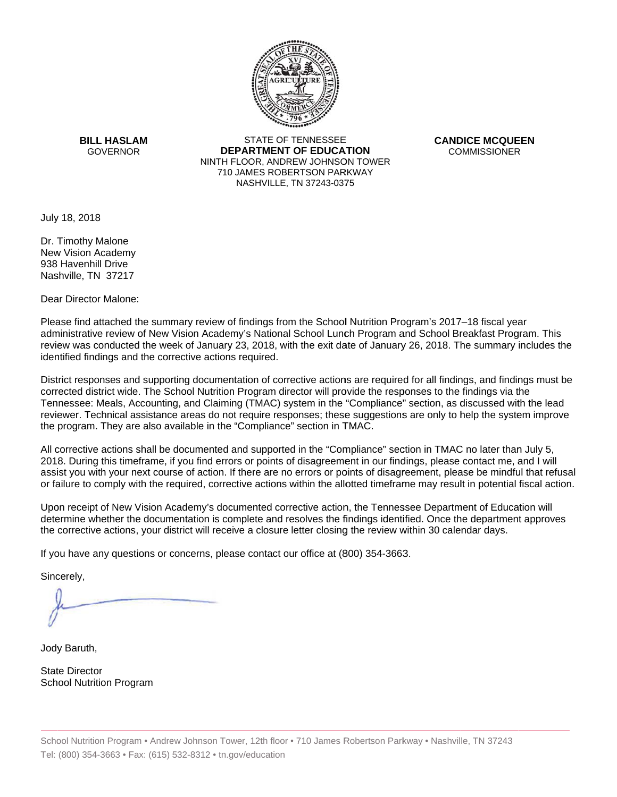

**BILL HASLAM** GOVERNOR **DEI** 

STATE OF TENNESSEE **EPARTMENT OF EDUCATION** NINTH FLOOR, ANDREW JOHNSON TOWER 710 JAMES ROBERTSON PARKWAY NASHVILLE,TN 37243-0375

**CANDICE MCQUEEN** CO OMMISSIONER

July 18, 2018

938 Havenhill Drive Dr. Timothy Malone New Vision Academy Nashville, TN 37217

Dear Director Malone:

Please find attached the summary review of findings from the School Nutrition Program's 2017–18 fiscal year administrative review of New Vision Academy's National School Lunch Program and School Breakfast Program. This review was conducted the week of January 23, 2018, with the exit date of January 26, 2018. The summary includes the identified findings and the corrective actions required.

Tennessee: Meals, Accounting, and Claiming (TMAC) system in the "Compliance" section, as discussed with the lead District responses and supporting documentation of corrective actions are required for all findings, and findings must be corrected district wide. The School Nutrition Program director will provide the responses to the findings via the reviewer. Technical assistance areas do not require responses; these suggestions are only to help the system improve the program. They are also available in the "Compliance" section in TMAC.

All corrective actions shall be documented and supported in the "Compliance" section in TMAC no later than July 5, 2018. During this timeframe, if you find errors or points of disagreement in our findings, please contact me, and I will assist you with your next course of action. If there are no errors or points of disagreement, please be mindful that refusal or failure to comply with the required, corrective actions within the allotted timeframe may result in potential fiscal action.

Upon receipt of New Vision Academy's documented corrective action, the Tennessee Department of Education will determine whether the documentation is complete and resolves the findings identified. Once the department approves the corrective actions, your district will receive a closure letter closing the review within 30 calendar days.

If you have any questions or concerns, please contact our office at (800) 354-3663.

Sincerely,

Jody Baruth,

State Director School Nutrition Program